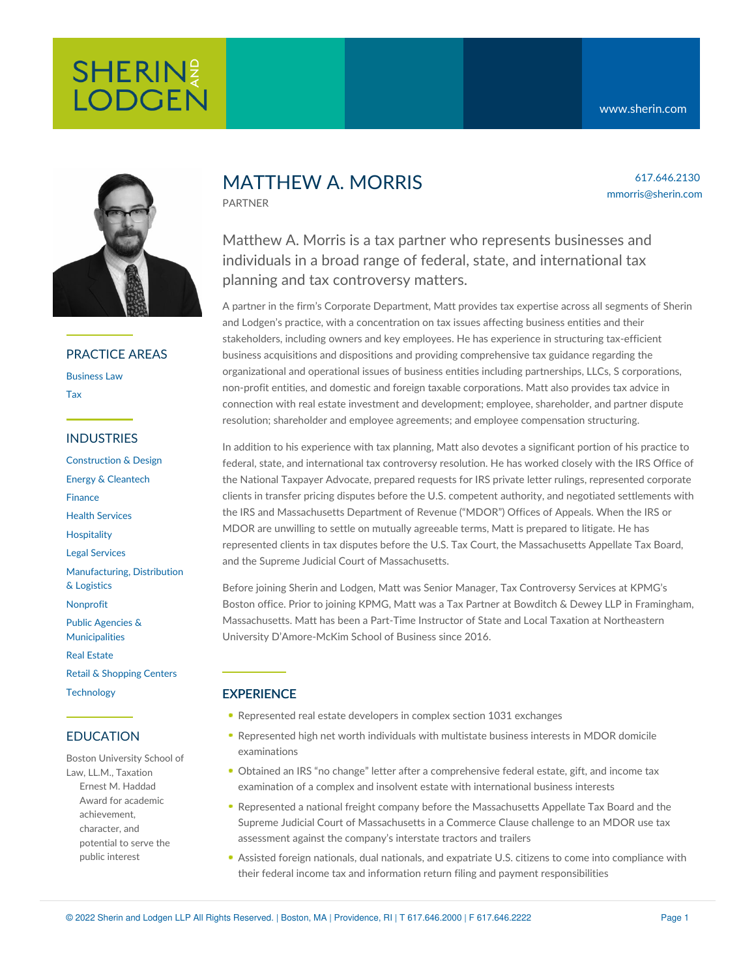

### PRACTICE AREAS

[Business](https://www.sherin.com/practice-areas/business-law/) Law [Tax](https://www.sherin.com/practice-areas/business-law/tax/)

### INDUSTRIES

[Construction](https://www.sherin.com/industries/construction-and-design/) & Design Energy & [Cleantech](https://www.sherin.com/industries/energy-and-cleantech/) [Finance](https://www.sherin.com/industries/finance/) Health [Services](https://www.sherin.com/industries/health-services/) **[Hospitality](https://www.sherin.com/practice-areas/hospitality/)** Legal [Services](https://www.sherin.com/industries/legal-services/) [Manufacturing,](https://www.sherin.com/industries/manufacturing-distribution-and-logistics/) Distribution & Logistics [Nonprofit](https://www.sherin.com/industries/nonprofit/) Public Agencies & [Municipalities](https://www.sherin.com/industries/public-agencies-and-municipalities/) Real [Estate](https://www.sherin.com/industries/real-estate/) Retail & [Shopping](https://www.sherin.com/industries/retail-shopping-centers/) Centers **[Technology](https://www.sherin.com/industries/technology/)** 

# EDUCATION

Boston University School of Law, LL.M., Taxation Ernest M. Haddad Award for academic achievement, character, and potential to serve the public interest

# MATTHEW A. MORRIS

PARTNER

617.646.2130 mmorris@sherin.com

Matthew A. Morris is a tax partner who represents businesses and individuals in a broad range of federal, state, and international tax planning and tax controversy matters.

A partner in the firm's Corporate Department, Matt provides tax expertise across all segments of Sherin and Lodgen's practice, with a concentration on tax issues affecting business entities and their stakeholders, including owners and key employees. He has experience in structuring tax-efficient business acquisitions and dispositions and providing comprehensive tax guidance regarding the organizational and operational issues of business entities including partnerships, LLCs, S corporations, non-profit entities, and domestic and foreign taxable corporations. Matt also provides tax advice in connection with real estate investment and development; employee, shareholder, and partner dispute resolution; shareholder and employee agreements; and employee compensation structuring.

In addition to his experience with tax planning, Matt also devotes a significant portion of his practice to federal, state, and international tax controversy resolution. He has worked closely with the IRS Office of the National Taxpayer Advocate, prepared requests for IRS private letter rulings, represented corporate clients in transfer pricing disputes before the U.S. competent authority, and negotiated settlements with the IRS and Massachusetts Department of Revenue ("MDOR") Offices of Appeals. When the IRS or MDOR are unwilling to settle on mutually agreeable terms, Matt is prepared to litigate. He has represented clients in tax disputes before the U.S. Tax Court, the Massachusetts Appellate Tax Board, and the Supreme Judicial Court of Massachusetts.

Before joining Sherin and Lodgen, Matt was Senior Manager, Tax Controversy Services at KPMG's Boston office. Prior to joining KPMG, Matt was a Tax Partner at Bowditch & Dewey LLP in Framingham, Massachusetts. Matt has been a Part-Time Instructor of State and Local Taxation at Northeastern University D'Amore-McKim School of Business since 2016.

# **EXPERIENCE**

- Represented real estate developers in complex section 1031 exchanges
- Represented high net worth individuals with multistate business interests in MDOR domicile examinations
- Obtained an IRS "no change" letter after a comprehensive federal estate, gift, and income tax examination of a complex and insolvent estate with international business interests
- Represented a national freight company before the Massachusetts Appellate Tax Board and the Supreme Judicial Court of Massachusetts in a Commerce Clause challenge to an MDOR use tax assessment against the company's interstate tractors and trailers
- Assisted foreign nationals, dual nationals, and expatriate U.S. citizens to come into compliance with their federal income tax and information return filing and payment responsibilities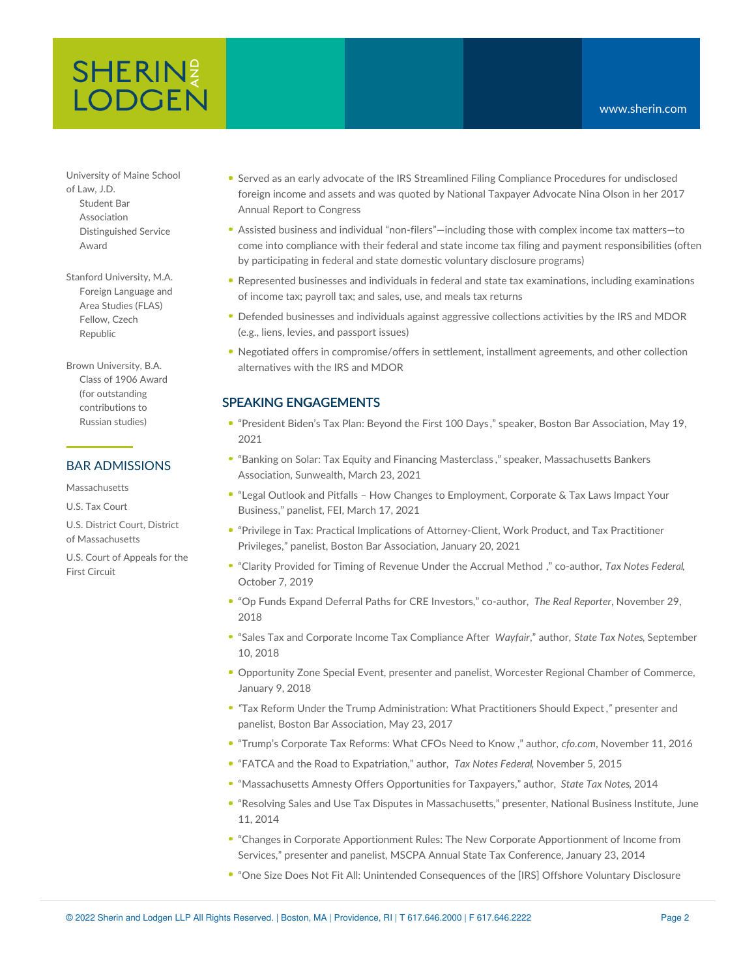# **SHERIN**<sup>2</sup> **LODGEN**

University of Maine School of Law, J.D. Student Bar

Association Distinguished Service Award

Stanford University, M.A. Foreign Language and Area Studies (FLAS) Fellow, Czech Republic

Brown University, B.A. Class of 1906 Award (for outstanding contributions to Russian studies)

# BAR ADMISSIONS

Massachusetts

U.S. Tax Court

U.S. District Court, District of Massachusetts

U.S. Court of Appeals for the First Circuit

- Served as an early advocate of the IRS Streamlined Filing Compliance Procedures for undisclosed foreign income and assets and was quoted by National Taxpayer Advocate Nina Olson in her 2017 Annual Report to Congress
- Assisted business and individual "non-filers"—including those with complex income tax matters—to come into compliance with their federal and state income tax filing and payment responsibilities (often by participating in federal and state domestic voluntary disclosure programs)
- Represented businesses and individuals in federal and state tax examinations, including examinations of income tax; payroll tax; and sales, use, and meals tax returns
- Defended businesses and individuals against aggressive collections activities by the IRS and MDOR (e.g., liens, levies, and passport issues)
- Negotiated offers in compromise/offers in settlement, installment agreements, and other collection alternatives with the IRS and MDOR

### SPEAKING ENGAGEMENTS

- "[President](https://bostonbar.org/membership/events/event-details?ID=37443) Biden's Tax Plan: Beyond the First 100 Days ," speaker, Boston Bar Association, May 19, 2021
- "Banking on Solar: Tax Equity and Financing [Masterclass](https://mailchi.mp/info.massbankers.org/banking-on-solar-tax-equity-and-financing-masterclass) ," speaker, Massachusetts Bankers Association, Sunwealth, March 23, 2021
- "Legal Outlook and Pitfalls How Changes to [Employment,](https://www.feiboston.org/events/EventDetails.aspx?id=1487790) Corporate & Tax Laws Impact Your Business," panelist, FEI, March 17, 2021
- "Privilege in Tax: Practical Implications of [Attorney-Client,](https://bostonbar.org/membership/events/event-details?ID=36171) Work Product, and Tax Practitioner Privileges," panelist, Boston Bar Association, January 20, 2021
- "Clarity [Provided](https://tax.kpmg.us/content/dam/tax/en/pdfs/2019/tnf-timing-rev-under-accrual-method-10-21-19.pdf) for Timing of Revenue Under the Accrual Method ," co-author, *Tax Notes Federal*, October 7, 2019
- "Op Funds Expand Deferral Paths for CRE Investors," co-author, *The Real Reporter*, November 29, 2018
- "Sales Tax and Corporate Income Tax Compliance After *Wayfair*," author, *State Tax Notes*, September 10, 2018
- Opportunity Zone Special Event, presenter and panelist, Worcester Regional Chamber of Commerce, January 9, 2018
- *"*Tax Reform Under the Trump [Administration:](https://bostonbar.org/membership/events/event-details?ID=23630&utm_source=upcoming%20events&utm_medium=email&utm_campaign=upcoming%20events050917) What Practitioners Should Expect *,"* presenter and panelist, Boston Bar Association, May 23, 2017
- "Trump's [Corporate](https://www.cfo.com/tax/2016/11/trumps-corporate-tax-reforms-cfos-need-know/) Tax Reforms: What CFOs Need to Know ," author, *cfo.com*, November 11, 2016
- "FATCA and the Road to Expatriation," author, *Tax Notes Federal*, November 5, 2015
- "Massachusetts Amnesty Offers Opportunities for Taxpayers," author, *State Tax Notes*, 2014
- "Resolving Sales and Use Tax Disputes in Massachusetts," presenter, National Business Institute, June 11, 2014
- "Changes in Corporate Apportionment Rules: The New Corporate Apportionment of Income from Services," presenter and panelist*,* MSCPA Annual State Tax Conference, January 23, 2014
- "One Size Does Not Fit All: Unintended Consequences of the [IRS] Offshore Voluntary Disclosure